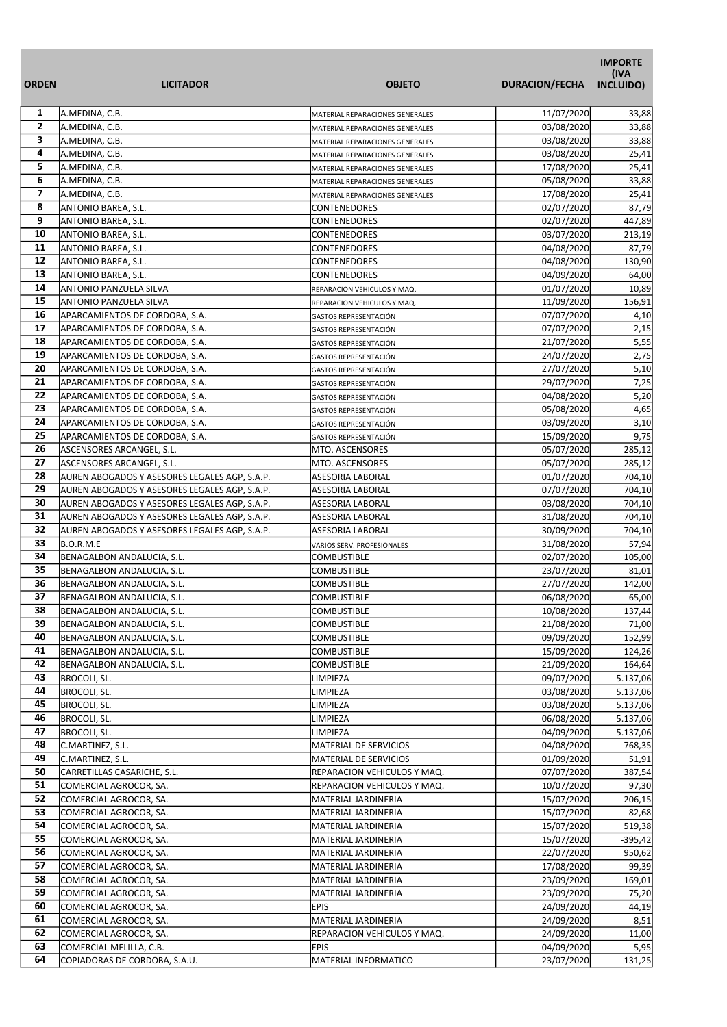|                              |                                                                                                |                                      |                          | <b>IMPORTE</b><br>(IVA |
|------------------------------|------------------------------------------------------------------------------------------------|--------------------------------------|--------------------------|------------------------|
| <b>ORDEN</b>                 | <b>LICITADOR</b>                                                                               | <b>OBJETO</b>                        | <b>DURACION/FECHA</b>    | INCLUIDO)              |
| 1                            | A.MEDINA, C.B.                                                                                 | MATERIAL REPARACIONES GENERALES      | 11/07/2020               | 33,88                  |
| $\overline{2}$               | A.MEDINA, C.B.                                                                                 | MATERIAL REPARACIONES GENERALES      | 03/08/2020               | 33,88                  |
| 3                            | A.MEDINA, C.B.                                                                                 | MATERIAL REPARACIONES GENERALES      | 03/08/2020               | 33,88                  |
| 4                            | A.MEDINA, C.B.                                                                                 | MATERIAL REPARACIONES GENERALES      | 03/08/2020               | 25,41                  |
| 5                            | A.MEDINA, C.B.                                                                                 | MATERIAL REPARACIONES GENERALES      | 17/08/2020               | 25,41                  |
| 6                            | A.MEDINA, C.B.                                                                                 | MATERIAL REPARACIONES GENERALES      | 05/08/2020               | 33,88                  |
| $\overline{\mathbf{z}}$<br>8 | A.MEDINA, C.B.                                                                                 | MATERIAL REPARACIONES GENERALES      | 17/08/2020               | 25,41                  |
| 9                            | ANTONIO BAREA, S.L.                                                                            | <b>CONTENEDORES</b>                  | 02/07/2020               | 87,79                  |
| 10                           | ANTONIO BAREA, S.L.                                                                            | <b>CONTENEDORES</b>                  | 02/07/2020<br>03/07/2020 | 447,89                 |
| 11                           | ANTONIO BAREA, S.L.<br>ANTONIO BAREA, S.L.                                                     | CONTENEDORES<br>CONTENEDORES         | 04/08/2020               | 213,19<br>87,79        |
| 12                           | ANTONIO BAREA, S.L.                                                                            | <b>CONTENEDORES</b>                  | 04/08/2020               | 130,90                 |
| 13                           | ANTONIO BAREA, S.L.                                                                            | <b>CONTENEDORES</b>                  | 04/09/2020               | 64,00                  |
| 14                           | <b>ANTONIO PANZUELA SILVA</b>                                                                  | REPARACION VEHICULOS Y MAQ.          | 01/07/2020               | 10,89                  |
| 15                           | ANTONIO PANZUELA SILVA                                                                         | REPARACION VEHICULOS Y MAQ.          | 11/09/2020               | 156,91                 |
| 16                           | APARCAMIENTOS DE CORDOBA, S.A.                                                                 | <b>GASTOS REPRESENTACIÓN</b>         | 07/07/2020               | 4,10                   |
| 17                           | APARCAMIENTOS DE CORDOBA, S.A.                                                                 | GASTOS REPRESENTACIÓN                | 07/07/2020               | 2,15                   |
| 18                           | APARCAMIENTOS DE CORDOBA, S.A.                                                                 | GASTOS REPRESENTACIÓN                | 21/07/2020               | 5,55                   |
| 19                           | APARCAMIENTOS DE CORDOBA, S.A.                                                                 | GASTOS REPRESENTACIÓN                | 24/07/2020               | 2,75                   |
| 20                           | APARCAMIENTOS DE CORDOBA, S.A.                                                                 | <b>GASTOS REPRESENTACIÓN</b>         | 27/07/2020               | 5,10                   |
| 21                           | APARCAMIENTOS DE CORDOBA, S.A.                                                                 | <b>GASTOS REPRESENTACIÓN</b>         | 29/07/2020               | 7,25                   |
| 22                           | APARCAMIENTOS DE CORDOBA, S.A.                                                                 | <b>GASTOS REPRESENTACIÓN</b>         | 04/08/2020               | 5,20                   |
| 23                           | APARCAMIENTOS DE CORDOBA, S.A.                                                                 | GASTOS REPRESENTACIÓN                | 05/08/2020               | 4,65                   |
| 24                           | APARCAMIENTOS DE CORDOBA, S.A.                                                                 | <b>GASTOS REPRESENTACIÓN</b>         | 03/09/2020               | 3,10                   |
| 25                           | APARCAMIENTOS DE CORDOBA, S.A.                                                                 | <b>GASTOS REPRESENTACIÓN</b>         | 15/09/2020               | 9,75                   |
| 26                           | ASCENSORES ARCANGEL, S.L.                                                                      | MTO. ASCENSORES                      | 05/07/2020               | 285,12                 |
| 27<br>28                     | ASCENSORES ARCANGEL, S.L.                                                                      | MTO. ASCENSORES                      | 05/07/2020               | 285,12                 |
| 29                           | AUREN ABOGADOS Y ASESORES LEGALES AGP, S.A.P.                                                  | ASESORIA LABORAL                     | 01/07/2020<br>07/07/2020 | 704,10                 |
| 30                           | AUREN ABOGADOS Y ASESORES LEGALES AGP, S.A.P.<br>AUREN ABOGADOS Y ASESORES LEGALES AGP, S.A.P. | ASESORIA LABORAL<br>ASESORIA LABORAL | 03/08/2020               | 704,10<br>704,10       |
| 31                           | AUREN ABOGADOS Y ASESORES LEGALES AGP, S.A.P.                                                  | ASESORIA LABORAL                     | 31/08/2020               | 704,10                 |
| 32                           | AUREN ABOGADOS Y ASESORES LEGALES AGP, S.A.P.                                                  | ASESORIA LABORAL                     | 30/09/2020               | 704,10                 |
| 33                           | <b>B.O.R.M.E</b>                                                                               | VARIOS SERV. PROFESIONALES           | 31/08/2020               | 57,94                  |
| 34                           | BENAGALBON ANDALUCIA, S.L.                                                                     | <b>COMBUSTIBLE</b>                   | 02/07/2020               | 105,00                 |
| 35                           | BENAGALBON ANDALUCIA, S.L.                                                                     | COMBUSTIBLE                          | 23/07/2020               | 81,01                  |
| 36                           | BENAGALBON ANDALUCIA, S.L.                                                                     | COMBUSTIBLE                          | 27/07/2020               | 142,00                 |
| 37                           | BENAGALBON ANDALUCIA, S.L.                                                                     | <b>COMBUSTIBLE</b>                   | 06/08/2020               | 65,00                  |
| 38                           | BENAGALBON ANDALUCIA, S.L.                                                                     | <b>COMBUSTIBLE</b>                   | 10/08/2020               | 137,44                 |
| 39                           | BENAGALBON ANDALUCIA, S.L.                                                                     | COMBUSTIBLE                          | 21/08/2020               | 71,00                  |
| 40                           | BENAGALBON ANDALUCIA, S.L.                                                                     | COMBUSTIBLE                          | 09/09/2020               | 152,99                 |
| 41                           | BENAGALBON ANDALUCIA, S.L.                                                                     | COMBUSTIBLE                          | 15/09/2020               | 124,26                 |
| 42                           | BENAGALBON ANDALUCIA, S.L.                                                                     | COMBUSTIBLE                          | 21/09/2020               | 164,64                 |
| 43                           | BROCOLI, SL.                                                                                   | LIMPIEZA                             | 09/07/2020               | 5.137,06               |
| 44                           | BROCOLI, SL.                                                                                   | LIMPIEZA                             | 03/08/2020               | 5.137,06               |
| 45<br>46                     | BROCOLI, SL.                                                                                   | LIMPIEZA                             | 03/08/2020               | 5.137,06               |
| 47                           | BROCOLI, SL.<br>BROCOLI, SL.                                                                   | LIMPIEZA<br>LIMPIEZA                 | 06/08/2020<br>04/09/2020 | 5.137,06               |
| 48                           | C.MARTINEZ, S.L.                                                                               | MATERIAL DE SERVICIOS                | 04/08/2020               | 5.137,06<br>768,35     |
| 49                           | C.MARTINEZ, S.L.                                                                               | <b>MATERIAL DE SERVICIOS</b>         | 01/09/2020               | 51,91                  |
| 50                           | CARRETILLAS CASARICHE, S.L.                                                                    | REPARACION VEHICULOS Y MAQ.          | 07/07/2020               | 387,54                 |
| 51                           | COMERCIAL AGROCOR, SA.                                                                         | REPARACION VEHICULOS Y MAQ.          | 10/07/2020               | 97,30                  |
| 52                           | COMERCIAL AGROCOR, SA.                                                                         | MATERIAL JARDINERIA                  | 15/07/2020               | 206,15                 |
| 53                           | COMERCIAL AGROCOR, SA.                                                                         | MATERIAL JARDINERIA                  | 15/07/2020               | 82,68                  |
| 54                           | COMERCIAL AGROCOR, SA.                                                                         | MATERIAL JARDINERIA                  | 15/07/2020               | 519,38                 |
| 55                           | COMERCIAL AGROCOR, SA.                                                                         | MATERIAL JARDINERIA                  | 15/07/2020               | $-395,42$              |
| 56                           | COMERCIAL AGROCOR, SA.                                                                         | MATERIAL JARDINERIA                  | 22/07/2020               | 950,62                 |
| 57                           | COMERCIAL AGROCOR, SA.                                                                         | MATERIAL JARDINERIA                  | 17/08/2020               | 99,39                  |
| 58                           | COMERCIAL AGROCOR, SA.                                                                         | MATERIAL JARDINERIA                  | 23/09/2020               | 169,01                 |
| 59                           | COMERCIAL AGROCOR, SA.                                                                         | MATERIAL JARDINERIA                  | 23/09/2020               | 75,20                  |
| 60                           | COMERCIAL AGROCOR, SA.                                                                         | <b>EPIS</b>                          | 24/09/2020               | 44,19                  |
| 61                           | COMERCIAL AGROCOR, SA.                                                                         | MATERIAL JARDINERIA                  | 24/09/2020               | 8,51                   |
| 62                           | COMERCIAL AGROCOR, SA.                                                                         | REPARACION VEHICULOS Y MAQ.          | 24/09/2020               | 11,00                  |
| 63                           | COMERCIAL MELILLA, C.B.                                                                        | <b>IEPIS</b>                         | 04/09/2020               | 5,95                   |
| 64                           | COPIADORAS DE CORDOBA, S.A.U.                                                                  | MATERIAL INFORMATICO                 | 23/07/2020               | 131,25                 |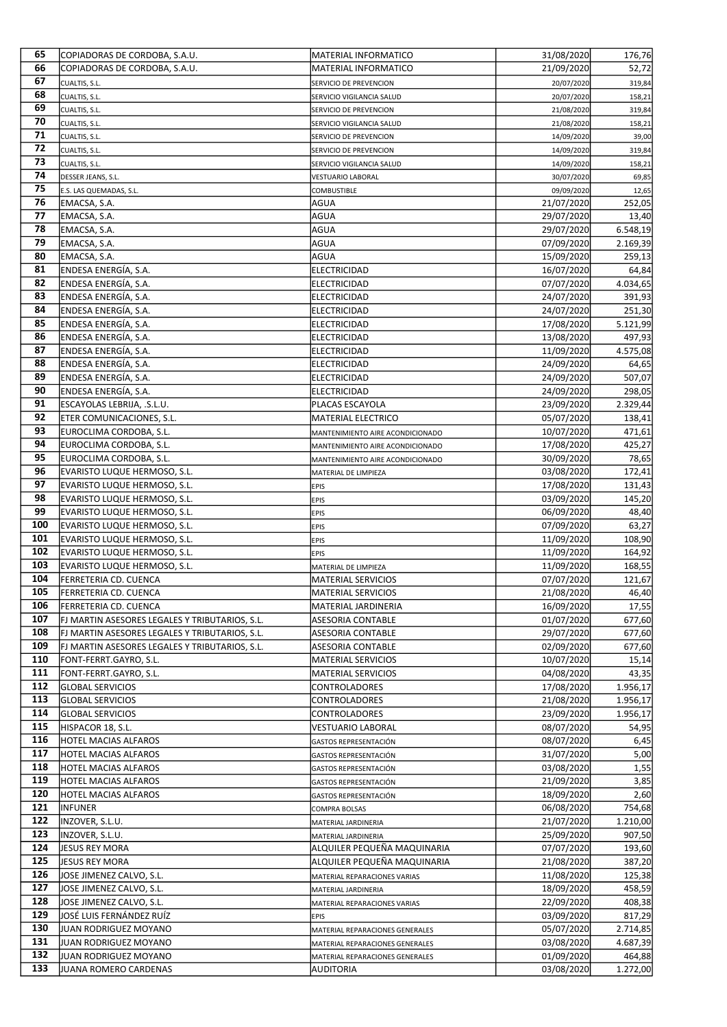| 65         | COPIADORAS DE CORDOBA, S.A.U.                                | <b>MATERIAL INFORMATICO</b>                 | 31/08/2020               | 176,76           |
|------------|--------------------------------------------------------------|---------------------------------------------|--------------------------|------------------|
| 66         | COPIADORAS DE CORDOBA, S.A.U.                                | MATERIAL INFORMATICO                        | 21/09/2020               | 52,72            |
| 67         | CUALTIS, S.L.                                                | SERVICIO DE PREVENCION                      | 20/07/2020               | 319,84           |
| 68         | CUALTIS, S.L.                                                | SERVICIO VIGILANCIA SALUD                   | 20/07/2020               | 158,21           |
| 69         | CUALTIS, S.L.                                                | SERVICIO DE PREVENCION                      | 21/08/2020               | 319,84           |
| 70         | CUALTIS, S.L.                                                | SERVICIO VIGILANCIA SALUD                   | 21/08/2020               | 158,21           |
| 71         | CUALTIS, S.L.                                                | SERVICIO DE PREVENCION                      | 14/09/2020               | 39,00            |
| 72         | CUALTIS, S.L.                                                | SERVICIO DE PREVENCION                      | 14/09/2020               | 319,84           |
| 73         | CUALTIS, S.L.                                                | SERVICIO VIGILANCIA SALUD                   | 14/09/2020               | 158,21           |
| 74         | DESSER JEANS, S.L.                                           | <b>VESTUARIO LABORAL</b>                    | 30/07/2020               | 69,85            |
| 75         | E.S. LAS QUEMADAS, S.L.                                      | <b>COMBUSTIBLE</b>                          | 09/09/2020               | 12,65            |
| 76         | EMACSA, S.A.                                                 | AGUA                                        | 21/07/2020               | 252,05           |
| 77         | EMACSA, S.A.                                                 | AGUA                                        | 29/07/2020               | 13,40            |
| 78         | EMACSA, S.A.                                                 | AGUA                                        | 29/07/2020               | 6.548,19         |
| 79         | EMACSA, S.A.                                                 | AGUA                                        | 07/09/2020               | 2.169,39         |
| 80         | EMACSA, S.A.                                                 | AGUA                                        | 15/09/2020               | 259,13           |
| 81         | ENDESA ENERGÍA, S.A.                                         | <b>ELECTRICIDAD</b>                         | 16/07/2020               | 64,84            |
| 82         | ENDESA ENERGÍA, S.A.                                         | ELECTRICIDAD                                | 07/07/2020               | 4.034,65         |
| 83         | ENDESA ENERGÍA, S.A.                                         | ELECTRICIDAD                                | 24/07/2020               | 391,93           |
| 84         | ENDESA ENERGÍA, S.A.                                         | ELECTRICIDAD                                | 24/07/2020               | 251,30           |
| 85         | ENDESA ENERGÍA, S.A.                                         | ELECTRICIDAD                                | 17/08/2020               | 5.121,99         |
| 86         | ENDESA ENERGÍA, S.A.                                         | ELECTRICIDAD                                | 13/08/2020               | 497,93           |
| 87         | ENDESA ENERGÍA, S.A.                                         | <b>ELECTRICIDAD</b>                         | 11/09/2020               | 4.575,08         |
| 88         | ENDESA ENERGÍA, S.A.                                         | ELECTRICIDAD                                | 24/09/2020               | 64,65            |
| 89         | ENDESA ENERGÍA, S.A.                                         | ELECTRICIDAD                                | 24/09/2020               | 507,07           |
| 90         | ENDESA ENERGÍA, S.A.                                         | ELECTRICIDAD                                | 24/09/2020               | 298,05           |
| 91         | ESCAYOLAS LEBRIJA, .S.L.U.                                   | PLACAS ESCAYOLA                             | 23/09/2020               | 2.329,44         |
| 92         | ETER COMUNICACIONES, S.L.                                    | <b>MATERIAL ELECTRICO</b>                   | 05/07/2020               | 138,41           |
| 93<br>94   | EUROCLIMA CORDOBA, S.L.                                      | MANTENIMIENTO AIRE ACONDICIONADO            | 10/07/2020               | 471,61           |
| 95         | EUROCLIMA CORDOBA, S.L.                                      | MANTENIMIENTO AIRE ACONDICIONADO            | 17/08/2020               | 425,27           |
| 96         | EUROCLIMA CORDOBA, S.L.                                      | MANTENIMIENTO AIRE ACONDICIONADO            | 30/09/2020               | 78,65            |
| 97         | EVARISTO LUQUE HERMOSO, S.L.                                 | MATERIAL DE LIMPIEZA                        | 03/08/2020               | 172,41           |
| 98         | EVARISTO LUQUE HERMOSO, S.L.                                 | EPIS                                        | 17/08/2020               | 131,43<br>145,20 |
| 99         | EVARISTO LUQUE HERMOSO, S.L.<br>EVARISTO LUQUE HERMOSO, S.L. | <b>EPIS</b>                                 | 03/09/2020<br>06/09/2020 | 48,40            |
| 100        | EVARISTO LUQUE HERMOSO, S.L.                                 | <b>EPIS</b><br><b>EPIS</b>                  | 07/09/2020               | 63,27            |
| 101        | EVARISTO LUQUE HERMOSO, S.L.                                 |                                             | 11/09/2020               | 108,90           |
| 102        | EVARISTO LUQUE HERMOSO, S.L.                                 | EPIS<br>EPIS                                | 11/09/2020               | 164,92           |
| 103        | EVARISTO LUQUE HERMOSO, S.L.                                 | MATERIAL DE LIMPIEZA                        | 11/09/2020               | 168,55           |
| 104        | FERRETERIA CD. CUENCA                                        | <b>MATERIAL SERVICIOS</b>                   | 07/07/2020               | 121,67           |
| 105        | <b>FERRETERIA CD. CUENCA</b>                                 | <b>MATERIAL SERVICIOS</b>                   | 21/08/2020               | 46,40            |
| 106        | <b>FERRETERIA CD. CUENCA</b>                                 | MATERIAL JARDINERIA                         | 16/09/2020               | 17,55            |
| 107        | FJ MARTIN ASESORES LEGALES Y TRIBUTARIOS, S.L.               | ASESORIA CONTABLE                           | 01/07/2020               | 677,60           |
| 108        | FJ MARTIN ASESORES LEGALES Y TRIBUTARIOS, S.L.               | ASESORIA CONTABLE                           | 29/07/2020               | 677,60           |
| 109        | FJ MARTIN ASESORES LEGALES Y TRIBUTARIOS, S.L.               | ASESORIA CONTABLE                           | 02/09/2020               | 677,60           |
| 110        | FONT-FERRT.GAYRO, S.L.                                       | MATERIAL SERVICIOS                          | 10/07/2020               | 15,14            |
| 111        | FONT-FERRT.GAYRO, S.L.                                       | <b>MATERIAL SERVICIOS</b>                   | 04/08/2020               | 43,35            |
| 112        | <b>GLOBAL SERVICIOS</b>                                      | CONTROLADORES                               | 17/08/2020               | 1.956,17         |
| 113        | <b>GLOBAL SERVICIOS</b>                                      | CONTROLADORES                               | 21/08/2020               | 1.956,17         |
| 114        | <b>GLOBAL SERVICIOS</b>                                      | CONTROLADORES                               | 23/09/2020               | 1.956,17         |
| 115        | HISPACOR 18, S.L.                                            | VESTUARIO LABORAL                           | 08/07/2020               | 54,95            |
| 116        | <b>HOTEL MACIAS ALFAROS</b>                                  | GASTOS REPRESENTACIÓN                       | 08/07/2020               | 6,45             |
| 117        | <b>HOTEL MACIAS ALFAROS</b>                                  | GASTOS REPRESENTACIÓN                       | 31/07/2020               | 5,00             |
| 118        | <b>HOTEL MACIAS ALFAROS</b>                                  | GASTOS REPRESENTACIÓN                       | 03/08/2020               | 1,55             |
| 119        | <b>HOTEL MACIAS ALFAROS</b>                                  | GASTOS REPRESENTACIÓN                       | 21/09/2020               | 3,85             |
| 120        | <b>HOTEL MACIAS ALFAROS</b>                                  | GASTOS REPRESENTACIÓN                       | 18/09/2020               | 2,60             |
| 121        | <b>INFUNER</b>                                               | COMPRA BOLSAS                               | 06/08/2020               | 754,68           |
| 122        | INZOVER, S.L.U.                                              | MATERIAL JARDINERIA                         | 21/07/2020               | 1.210,00         |
| 123        | INZOVER, S.L.U.                                              | MATERIAL JARDINERIA                         | 25/09/2020               | 907,50           |
| 124<br>125 | JESUS REY MORA                                               | ALQUILER PEQUEÑA MAQUINARIA                 | 07/07/2020               | 193,60           |
| 126        | JESUS REY MORA                                               | ALQUILER PEQUEÑA MAQUINARIA                 | 21/08/2020               | 387,20           |
| 127        | JOSE JIMENEZ CALVO, S.L.                                     | MATERIAL REPARACIONES VARIAS                | 11/08/2020               | 125,38           |
| 128        | JOSE JIMENEZ CALVO, S.L.<br>JOSE JIMENEZ CALVO, S.L.         | MATERIAL JARDINERIA                         | 18/09/2020<br>22/09/2020 | 458,59<br>408,38 |
| 129        | JOSÉ LUIS FERNÁNDEZ RUÍZ                                     | MATERIAL REPARACIONES VARIAS<br><b>EPIS</b> | 03/09/2020               | 817,29           |
| 130        | JUAN RODRIGUEZ MOYANO                                        | MATERIAL REPARACIONES GENERALES             | 05/07/2020               | 2.714,85         |
| 131        | JUAN RODRIGUEZ MOYANO                                        | MATERIAL REPARACIONES GENERALES             | 03/08/2020               | 4.687,39         |
| 132        | JUAN RODRIGUEZ MOYANO                                        | MATERIAL REPARACIONES GENERALES             | 01/09/2020               | 464,88           |
| 133        | JUANA ROMERO CARDENAS                                        | AUDITORIA                                   | 03/08/2020               | 1.272,00         |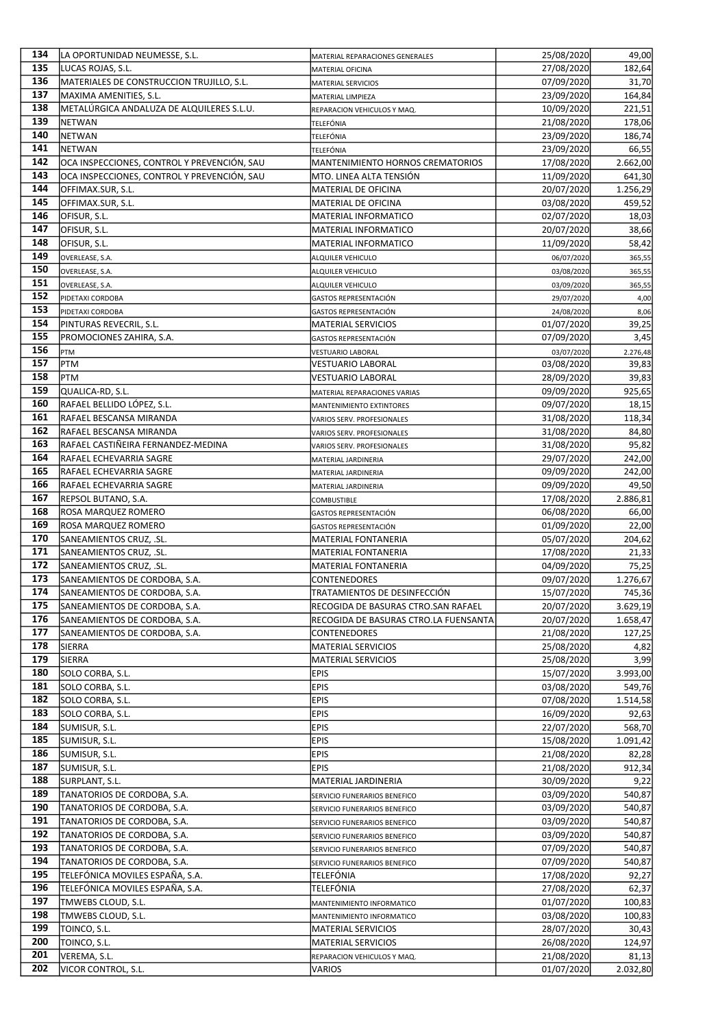| 134        | LA OPORTUNIDAD NEUMESSE, S.L.               | MATERIAL REPARACIONES GENERALES                          | 25/08/2020               | 49,00             |
|------------|---------------------------------------------|----------------------------------------------------------|--------------------------|-------------------|
| 135        | LUCAS ROJAS, S.L.                           | MATERIAL OFICINA                                         | 27/08/2020               | 182,64            |
| 136        | MATERIALES DE CONSTRUCCION TRUJILLO, S.L.   | MATERIAL SERVICIOS                                       | 07/09/2020               | 31,70             |
| 137        | MAXIMA AMENITIES, S.L.                      | MATERIAL LIMPIEZA                                        | 23/09/2020               | 164,84            |
| 138        | METALÚRGICA ANDALUZA DE ALQUILERES S.L.U.   | REPARACION VEHICULOS Y MAQ.                              | 10/09/2020               | 221,51            |
| 139        | <b>NETWAN</b>                               | TELEFÓNIA                                                | 21/08/2020               | 178,06            |
| 140        | <b>NETWAN</b>                               | TELEFÓNIA                                                | 23/09/2020               | 186,74            |
| 141        | <b>NETWAN</b>                               | TELEFÓNIA                                                | 23/09/2020               | 66,55             |
| 142        | OCA INSPECCIONES, CONTROL Y PREVENCIÓN, SAU | MANTENIMIENTO HORNOS CREMATORIOS                         | 17/08/2020               | 2.662,00          |
| 143        | OCA INSPECCIONES, CONTROL Y PREVENCIÓN, SAU | MTO. LINEA ALTA TENSIÓN                                  | 11/09/2020               | 641,30            |
| 144        | OFFIMAX.SUR, S.L.                           | MATERIAL DE OFICINA                                      | 20/07/2020               | 1.256,29          |
| 145        | OFFIMAX.SUR, S.L.                           | MATERIAL DE OFICINA                                      | 03/08/2020               | 459,52            |
| 146        | OFISUR, S.L.                                | MATERIAL INFORMATICO                                     | 02/07/2020               | 18,03             |
| 147        | OFISUR, S.L.                                | <b>MATERIAL INFORMATICO</b>                              | 20/07/2020               | 38,66             |
| 148        | OFISUR, S.L.                                | MATERIAL INFORMATICO                                     | 11/09/2020               | 58,42             |
| 149<br>150 | OVERLEASE, S.A.                             | <b>ALQUILER VEHICULO</b>                                 | 06/07/2020               | 365,55            |
| 151        | OVERLEASE, S.A.                             | ALQUILER VEHICULO                                        | 03/08/2020               | 365,55            |
| 152        | OVERLEASE, S.A.                             | <b>ALQUILER VEHICULO</b>                                 | 03/09/2020               | 365,55            |
| 153        | PIDETAXI CORDOBA                            | GASTOS REPRESENTACIÓN                                    | 29/07/2020               | 4,00              |
| 154        | PIDETAXI CORDOBA<br>PINTURAS REVECRIL, S.L. | GASTOS REPRESENTACIÓN<br>MATERIAL SERVICIOS              | 24/08/2020<br>01/07/2020 | 8,06<br>39,25     |
| 155        | PROMOCIONES ZAHIRA, S.A.                    |                                                          | 07/09/2020               | 3,45              |
| 156        |                                             | GASTOS REPRESENTACIÓN                                    |                          |                   |
| 157        | PTM<br><b>PTM</b>                           | <b>VESTUARIO LABORAL</b><br>VESTUARIO LABORAL            | 03/07/2020<br>03/08/2020 | 2.276,48<br>39,83 |
| 158        | PTM                                         | VESTUARIO LABORAL                                        | 28/09/2020               | 39,83             |
| 159        | QUALICA-RD, S.L.                            |                                                          | 09/09/2020               | 925,65            |
| 160        | RAFAEL BELLIDO LÓPEZ, S.L.                  | MATERIAL REPARACIONES VARIAS<br>MANTENIMIENTO EXTINTORES | 09/07/2020               | 18,15             |
| 161        | RAFAEL BESCANSA MIRANDA                     | VARIOS SERV. PROFESIONALES                               | 31/08/2020               | 118,34            |
| 162        | RAFAEL BESCANSA MIRANDA                     | VARIOS SERV. PROFESIONALES                               | 31/08/2020               | 84,80             |
| 163        | RAFAEL CASTIÑEIRA FERNANDEZ-MEDINA          | VARIOS SERV. PROFESIONALES                               | 31/08/2020               | 95,82             |
| 164        | RAFAEL ECHEVARRIA SAGRE                     | MATERIAL JARDINERIA                                      | 29/07/2020               | 242,00            |
| 165        | RAFAEL ECHEVARRIA SAGRE                     | MATERIAL JARDINERIA                                      | 09/09/2020               | 242,00            |
| 166        | RAFAEL ECHEVARRIA SAGRE                     | MATERIAL JARDINERIA                                      | 09/09/2020               | 49,50             |
| 167        | REPSOL BUTANO, S.A.                         | <b>COMBUSTIBLE</b>                                       | 17/08/2020               | 2.886,81          |
| 168        | ROSA MARQUEZ ROMERO                         | GASTOS REPRESENTACIÓN                                    | 06/08/2020               | 66,00             |
| 169        | ROSA MARQUEZ ROMERO                         | GASTOS REPRESENTACIÓN                                    | 01/09/2020               | 22,00             |
| 170        | SANEAMIENTOS CRUZ, .SL.                     | MATERIAL FONTANERIA                                      | 05/07/2020               | 204,62            |
| 171        | SANEAMIENTOS CRUZ, .SL.                     | MATERIAL FONTANERIA                                      | 17/08/2020               | 21,33             |
| 172        | SANEAMIENTOS CRUZ, .SL.                     | MATERIAL FONTANERIA                                      | 04/09/2020               | 75,25             |
| 173        | SANEAMIENTOS DE CORDOBA, S.A.               | <b>CONTENEDORES</b>                                      | 09/07/2020               | 1.276,67          |
| 174        | SANEAMIENTOS DE CORDOBA, S.A.               | TRATAMIENTOS DE DESINFECCIÓN                             | 15/07/2020               | 745,36            |
| 175        | SANEAMIENTOS DE CORDOBA, S.A.               | RECOGIDA DE BASURAS CTRO.SAN RAFAEL                      | 20/07/2020               | 3.629,19          |
| 176        | SANEAMIENTOS DE CORDOBA, S.A.               | RECOGIDA DE BASURAS CTRO.LA FUENSANTA                    | 20/07/2020               | 1.658,47          |
| 177        | SANEAMIENTOS DE CORDOBA, S.A.               | <b>CONTENEDORES</b>                                      | 21/08/2020               | 127,25            |
| 178        | <b>SIERRA</b>                               | MATERIAL SERVICIOS                                       | 25/08/2020               | 4,82              |
| 179        | <b>SIERRA</b>                               | <b>MATERIAL SERVICIOS</b>                                | 25/08/2020               | 3,99              |
| 180        | SOLO CORBA, S.L.                            | <b>EPIS</b>                                              | 15/07/2020               | 3.993,00          |
| 181        | SOLO CORBA, S.L.                            | <b>EPIS</b>                                              | 03/08/2020               | 549,76            |
| 182        | SOLO CORBA, S.L.                            | <b>EPIS</b>                                              | 07/08/2020               | 1.514,58          |
| 183        | SOLO CORBA, S.L.                            | <b>EPIS</b>                                              | 16/09/2020               | 92,63             |
| 184        | SUMISUR, S.L.                               | <b>EPIS</b>                                              | 22/07/2020               | 568,70            |
| 185        | SUMISUR, S.L.                               | <b>EPIS</b>                                              | 15/08/2020               | 1.091,42          |
| 186        | SUMISUR, S.L.                               | <b>EPIS</b>                                              | 21/08/2020               | 82,28             |
| 187        | SUMISUR, S.L.                               | <b>EPIS</b>                                              | 21/08/2020               | 912,34            |
| 188        | SURPLANT, S.L.                              | MATERIAL JARDINERIA                                      | 30/09/2020               | 9,22              |
| 189        | TANATORIOS DE CORDOBA, S.A.                 | SERVICIO FUNERARIOS BENEFICO                             | 03/09/2020               | 540,87            |
| 190        | TANATORIOS DE CORDOBA, S.A.                 | SERVICIO FUNERARIOS BENEFICO                             | 03/09/2020               | 540,87            |
| 191        | TANATORIOS DE CORDOBA, S.A.                 | SERVICIO FUNERARIOS BENEFICO                             | 03/09/2020               | 540,87            |
| 192        | TANATORIOS DE CORDOBA, S.A.                 | SERVICIO FUNERARIOS BENEFICO                             | 03/09/2020               | 540,87            |
| 193        | TANATORIOS DE CORDOBA, S.A.                 | SERVICIO FUNERARIOS BENEFICO                             | 07/09/2020               | 540,87            |
| 194        | TANATORIOS DE CORDOBA, S.A.                 | SERVICIO FUNERARIOS BENEFICO                             | 07/09/2020               | 540,87            |
| 195        | TELEFÓNICA MOVILES ESPAÑA, S.A.             | TELEFÓNIA                                                | 17/08/2020               | 92,27             |
| 196        | TELEFÓNICA MOVILES ESPAÑA, S.A.             | TELEFÓNIA                                                | 27/08/2020               | 62,37             |
| 197        | TMWEBS CLOUD, S.L.                          | MANTENIMIENTO INFORMATICO                                | 01/07/2020               | 100,83            |
| 198        | TMWEBS CLOUD, S.L.                          | MANTENIMIENTO INFORMATICO                                | 03/08/2020               | 100,83            |
| 199        | TOINCO, S.L.                                | MATERIAL SERVICIOS                                       | 28/07/2020               | 30,43             |
| 200        | TOINCO, S.L.                                | MATERIAL SERVICIOS                                       | 26/08/2020               | 124,97            |
| 201        | VEREMA, S.L.                                | REPARACION VEHICULOS Y MAQ.                              | 21/08/2020               | 81,13             |
| 202        | VICOR CONTROL, S.L.                         | VARIOS                                                   | 01/07/2020               | 2.032,80          |